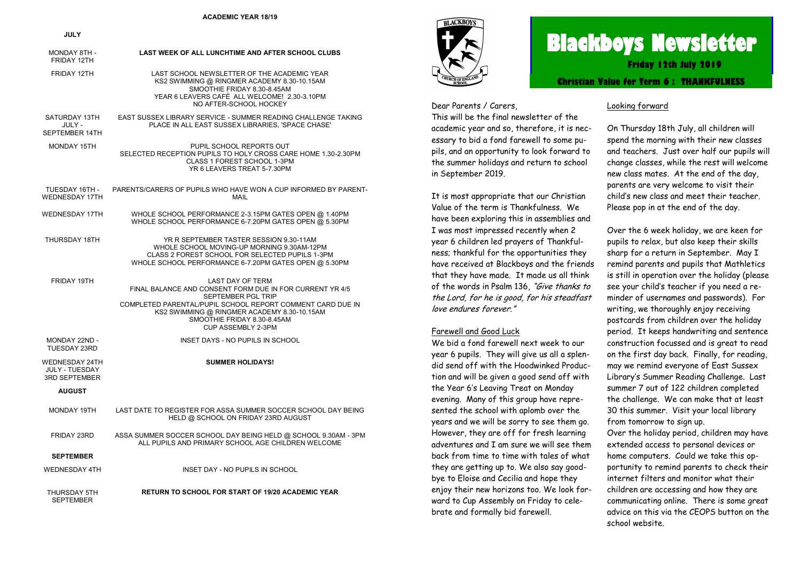#### **ACADEMIC YEAR 18/19**

#### **JULY**

| MONDAY 8TH -<br>FRIDAY 12TH                                     | LAST WEEK OF ALL LUNCHTIME AND AFTER SCHOOL CLUBS                                                                                                                                                                                                                                  |
|-----------------------------------------------------------------|------------------------------------------------------------------------------------------------------------------------------------------------------------------------------------------------------------------------------------------------------------------------------------|
| FRIDAY 12TH                                                     | LAST SCHOOL NEWSLETTER OF THE ACADEMIC YEAR<br>KS2 SWIMMING @ RINGMER ACADEMY 8.30-10.15AM<br>SMOOTHIE FRIDAY 8.30-8.45AM<br>YEAR 6 LEAVERS CAFÉ ALL WELCOME! 2.30-3.10PM<br>NO AFTER-SCHOOL HOCKEY                                                                                |
| SATURDAY 13TH<br>JULY -<br>SEPTEMBER 14TH                       | EAST SUSSEX LIBRARY SERVICE - SUMMER READING CHALLENGE TAKING<br>PLACE IN ALL EAST SUSSEX LIBRARIES, 'SPACE CHASE'                                                                                                                                                                 |
| MONDAY 15TH                                                     | PUPIL SCHOOL REPORTS OUT<br>SELECTED RECEPTION PUPILS TO HOLY CROSS CARE HOME 1.30-2.30PM<br>CLASS 1 FOREST SCHOOL 1-3PM<br>YR 6 LEAVERS TREAT 5-7.30PM                                                                                                                            |
| TUESDAY 16TH -<br><b>WEDNESDAY 17TH</b>                         | PARENTS/CARERS OF PUPILS WHO HAVE WON A CUP INFORMED BY PARENT-<br>MAII                                                                                                                                                                                                            |
| <b>WEDNESDAY 17TH</b>                                           | WHOLE SCHOOL PERFORMANCE 2-3.15PM GATES OPEN @ 1.40PM<br>WHOLE SCHOOL PERFORMANCE 6-7.20PM GATES OPEN @ 5.30PM                                                                                                                                                                     |
| THURSDAY 18TH                                                   | YR R SEPTEMBER TASTER SESSION 9.30-11AM<br>WHOLE SCHOOL MOVING-UP MORNING 9.30AM-12PM<br>CLASS 2 FOREST SCHOOL FOR SELECTED PUPILS 1-3PM<br>WHOLE SCHOOL PERFORMANCE 6-7.20PM GATES OPEN @ 5.30PM                                                                                  |
| FRIDAY 19TH                                                     | <b>LAST DAY OF TERM</b><br>FINAL BALANCE AND CONSENT FORM DUE IN FOR CURRENT YR 4/5<br><b>SEPTEMBER PGL TRIP</b><br>COMPLETED PARENTAL/PUPIL SCHOOL REPORT COMMENT CARD DUE IN<br>KS2 SWIMMING @ RINGMER ACADEMY 8.30-10.15AM<br>SMOOTHIE FRIDAY 8.30-8.45AM<br>CUP ASSEMBLY 2-3PM |
| MONDAY 22ND -<br>TUESDAY 23RD                                   | INSET DAYS - NO PUPILS IN SCHOOL                                                                                                                                                                                                                                                   |
| <b>WEDNESDAY 24TH</b><br>JULY - TUESDAY<br><b>3RD SEPTEMBER</b> | <b>SUMMER HOLIDAYS!</b>                                                                                                                                                                                                                                                            |
| <b>AUGUST</b>                                                   |                                                                                                                                                                                                                                                                                    |
| MONDAY 19TH                                                     | LAST DATE TO REGISTER FOR ASSA SUMMER SOCCER SCHOOL DAY BEING<br>HELD @ SCHOOL ON FRIDAY 23RD AUGUST                                                                                                                                                                               |
| FRIDAY 23RD                                                     | ASSA SUMMER SOCCER SCHOOL DAY BEING HELD @ SCHOOL 9.30AM - 3PM<br>ALL PUPILS AND PRIMARY SCHOOL AGE CHILDREN WELCOME                                                                                                                                                               |
| <b>SEPTEMBER</b>                                                |                                                                                                                                                                                                                                                                                    |
| <b>WEDNESDAY 4TH</b>                                            | INSET DAY - NO PUPILS IN SCHOOL                                                                                                                                                                                                                                                    |
| THURSDAY 5TH<br><b>SEPTEMBER</b>                                | <b>RETURN TO SCHOOL FOR START OF 19/20 ACADEMIC YEAR</b>                                                                                                                                                                                                                           |



# **Blackboys Newsletter**

**Friday 12th July 2019**

**Christian Value for Term 6 : THANKFULNESS**

Dear Parents / Carers, This will be the final newsletter of the academic year and so, therefore, it is necessary to bid a fond farewell to some pupils, and an opportunity to look forward to the summer holidays and return to school in September 2019.

It is most appropriate that our Christian Value of the term is Thankfulness. We have been exploring this in assemblies and I was most impressed recently when 2 year 6 children led prayers of Thankfulness; thankful for the opportunities they have received at Blackboys and the friends that they have made. It made us all think of the words in Psalm 136, "Give thanks to the Lord, for he is good, for his steadfast love endures forever."

#### Farewell and Good Luck

We bid a fond farewell next week to our year 6 pupils. They will give us all a splendid send off with the Hoodwinked Production and will be given a good send off with the Year 6's Leaving Treat on Monday evening. Many of this group have represented the school with aplomb over the years and we will be sorry to see them go. However, they are off for fresh learning adventures and I am sure we will see them back from time to time with tales of what they are getting up to. We also say goodbye to Eloise and Cecilia and hope they enjoy their new horizons too. We look forward to Cup Assembly on Friday to celebrate and formally bid farewell.

#### Looking forward

On Thursday 18th July, all children will spend the morning with their new classes and teachers. Just over half our pupils will change classes, while the rest will welcome new class mates. At the end of the day, parents are very welcome to visit their child's new class and meet their teacher. Please pop in at the end of the day.

Over the 6 week holiday, we are keen for pupils to relax, but also keep their skills sharp for a return in September. May I remind parents and pupils that Mathletics is still in operation over the holiday (please see your child's teacher if you need a reminder of usernames and passwords). For writing, we thoroughly enjoy receiving postcards from children over the holiday period. It keeps handwriting and sentence construction focussed and is great to read on the first day back. Finally, for reading, may we remind everyone of East Sussex Library's Summer Reading Challenge. Last summer 7 out of 122 children completed the challenge. We can make that at least 30 this summer. Visit your local library from tomorrow to sign up. Over the holiday period, children may have extended access to personal devices or home computers. Could we take this opportunity to remind parents to check their internet filters and monitor what their children are accessing and how they are communicating online. There is some great

## advice on this via the CEOPS button on the

school website.